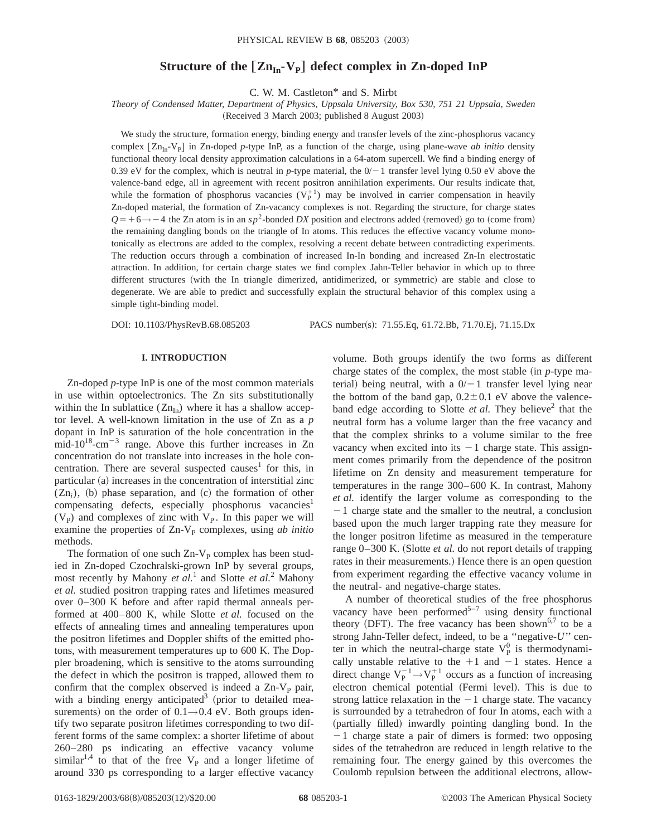# **Structure of the**  $[\text{Zn}_{In} \text{-} \text{V}_{P}]$  defect complex in Zn-doped InP

C. W. M. Castleton\* and S. Mirbt

*Theory of Condensed Matter, Department of Physics, Uppsala University, Box 530, 751 21 Uppsala, Sweden*

(Received 3 March 2003; published 8 August 2003)

We study the structure, formation energy, binding energy and transfer levels of the zinc-phosphorus vacancy complex  $[Zn_{In}-V_{P}]$  in Zn-doped *p*-type InP, as a function of the charge, using plane-wave *ab initio* density functional theory local density approximation calculations in a 64-atom supercell. We find a binding energy of 0.39 eV for the complex, which is neutral in *p*-type material, the  $0/-1$  transfer level lying 0.50 eV above the valence-band edge, all in agreement with recent positron annihilation experiments. Our results indicate that, while the formation of phosphorus vacancies  $(V_P^{+1})$  may be involved in carrier compensation in heavily Zn-doped material, the formation of Zn-vacancy complexes is not. Regarding the structure, for charge states  $Q=+6 \rightarrow -4$  the Zn atom is in an *sp*<sup>2</sup>-bonded *DX* position and electrons added (removed) go to (come from) the remaining dangling bonds on the triangle of In atoms. This reduces the effective vacancy volume monotonically as electrons are added to the complex, resolving a recent debate between contradicting experiments. The reduction occurs through a combination of increased In-In bonding and increased Zn-In electrostatic attraction. In addition, for certain charge states we find complex Jahn-Teller behavior in which up to three different structures (with the In triangle dimerized, antidimerized, or symmetric) are stable and close to degenerate. We are able to predict and successfully explain the structural behavior of this complex using a simple tight-binding model.

DOI: 10.1103/PhysRevB.68.085203 PACS number(s): 71.55.Eq, 61.72.Bb, 71.70.Ej, 71.15.Dx

# **I. INTRODUCTION**

Zn-doped *p*-type InP is one of the most common materials in use within optoelectronics. The Zn sits substitutionally within the In sublattice  $(Zn_{In})$  where it has a shallow acceptor level. A well-known limitation in the use of Zn as a *p* dopant in InP is saturation of the hole concentration in the mid-10<sup>18</sup>-cm<sup>-3</sup> range. Above this further increases in Zn concentration do not translate into increases in the hole concentration. There are several suspected causes<sup>1</sup> for this, in  $particular (a) increases in the concentration of interstitial zinc$  $(Zn_i)$ , (b) phase separation, and  $(c)$  the formation of other compensating defects, especially phosphorus vacancies<sup>1</sup>  $(V_P)$  and complexes of zinc with  $V_P$ . In this paper we will examine the properties of Zn-V<sub>p</sub> complexes, using *ab initio* methods.

The formation of one such  $Zn-V_p$  complex has been studied in Zn-doped Czochralski-grown InP by several groups, most recently by Mahony *et al.*<sup>1</sup> and Slotte *et al.*<sup>2</sup> Mahony *et al.* studied positron trapping rates and lifetimes measured over 0–300 K before and after rapid thermal anneals performed at 400–800 K, while Slotte *et al.* focused on the effects of annealing times and annealing temperatures upon the positron lifetimes and Doppler shifts of the emitted photons, with measurement temperatures up to 600 K. The Doppler broadening, which is sensitive to the atoms surrounding the defect in which the positron is trapped, allowed them to confirm that the complex observed is indeed a  $Zn-V<sub>P</sub>$  pair, with a binding energy anticipated<sup>3</sup> (prior to detailed measurements) on the order of  $0.1 \rightarrow 0.4$  eV. Both groups identify two separate positron lifetimes corresponding to two different forms of the same complex: a shorter lifetime of about 260–280 ps indicating an effective vacancy volume similar<sup>1,4</sup> to that of the free  $V_P$  and a longer lifetime of around 330 ps corresponding to a larger effective vacancy volume. Both groups identify the two forms as different charge states of the complex, the most stable  $(in p-type m = -1)$ terial) being neutral, with a  $0/-1$  transfer level lying near the bottom of the band gap,  $0.2 \pm 0.1$  eV above the valenceband edge according to Slotte *et al*. They believe<sup>2</sup> that the neutral form has a volume larger than the free vacancy and that the complex shrinks to a volume similar to the free vacancy when excited into its  $-1$  charge state. This assignment comes primarily from the dependence of the positron lifetime on Zn density and measurement temperature for temperatures in the range 300–600 K. In contrast, Mahony *et al.* identify the larger volume as corresponding to the  $-1$  charge state and the smaller to the neutral, a conclusion based upon the much larger trapping rate they measure for the longer positron lifetime as measured in the temperature range 0–300 K. (Slotte *et al.* do not report details of trapping rates in their measurements.) Hence there is an open question from experiment regarding the effective vacancy volume in the neutral- and negative-charge states.

A number of theoretical studies of the free phosphorus vacancy have been performed $5^{-7}$  using density functional theory (DFT). The free vacancy has been shown<sup>6,7</sup> to be a strong Jahn-Teller defect, indeed, to be a ''negative-*U*'' center in which the neutral-charge state  $V_P^0$  is thermodynamically unstable relative to the  $+1$  and  $-1$  states. Hence a direct change  $V_P^{-1} \rightarrow V_P^{+1}$  occurs as a function of increasing electron chemical potential (Fermi level). This is due to strong lattice relaxation in the  $-1$  charge state. The vacancy is surrounded by a tetrahedron of four In atoms, each with a (partially filled) inwardly pointing dangling bond. In the  $-1$  charge state a pair of dimers is formed: two opposing sides of the tetrahedron are reduced in length relative to the remaining four. The energy gained by this overcomes the Coulomb repulsion between the additional electrons, allow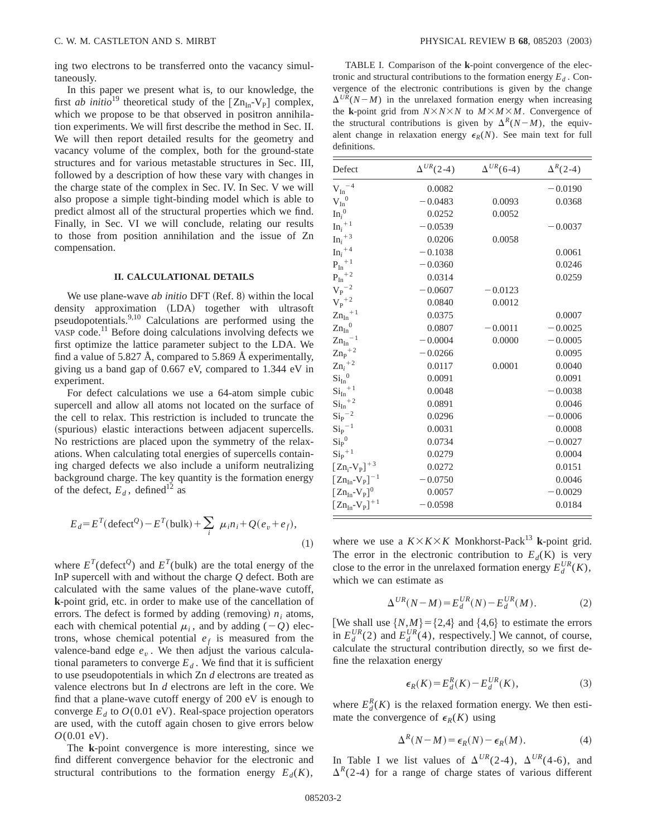ing two electrons to be transferred onto the vacancy simultaneously.

In this paper we present what is, to our knowledge, the first *ab initio*<sup>19</sup> theoretical study of the  $[Zn_{In}-V_{P}]$  complex, which we propose to be that observed in positron annihilation experiments. We will first describe the method in Sec. II. We will then report detailed results for the geometry and vacancy volume of the complex, both for the ground-state structures and for various metastable structures in Sec. III, followed by a description of how these vary with changes in the charge state of the complex in Sec. IV. In Sec. V we will also propose a simple tight-binding model which is able to predict almost all of the structural properties which we find. Finally, in Sec. VI we will conclude, relating our results to those from position annihilation and the issue of Zn compensation.

# **II. CALCULATIONAL DETAILS**

We use plane-wave *ab initio* DFT (Ref. 8) within the local density approximation (LDA) together with ultrasoft pseudopotentials.<sup>9,10</sup> Calculations are performed using the VASP code.11 Before doing calculations involving defects we first optimize the lattice parameter subject to the LDA. We find a value of 5.827 Å, compared to 5.869 Å experimentally, giving us a band gap of 0.667 eV, compared to 1.344 eV in experiment.

For defect calculations we use a 64-atom simple cubic supercell and allow all atoms not located on the surface of the cell to relax. This restriction is included to truncate the (spurious) elastic interactions between adjacent supercells. No restrictions are placed upon the symmetry of the relaxations. When calculating total energies of supercells containing charged defects we also include a uniform neutralizing background charge. The key quantity is the formation energy of the defect,  $E_d$ , defined<sup>12</sup> as

$$
E_d = E^T (\text{defect}^Q) - E^T (\text{bulk}) + \sum_i \mu_i n_i + Q(e_v + e_f),
$$
\n(1)

where  $E^T$ (defect<sup>Q</sup>) and  $E^T$ (bulk) are the total energy of the InP supercell with and without the charge *Q* defect. Both are calculated with the same values of the plane-wave cutoff, **k**-point grid, etc. in order to make use of the cancellation of errors. The defect is formed by adding (removing)  $n_i$  atoms, each with chemical potential  $\mu_i$ , and by adding (-Q) electrons, whose chemical potential  $e_f$  is measured from the valence-band edge  $e<sub>v</sub>$ . We then adjust the various calculational parameters to converge  $E_d$ . We find that it is sufficient to use pseudopotentials in which Zn *d* electrons are treated as valence electrons but In *d* electrons are left in the core. We find that a plane-wave cutoff energy of 200 eV is enough to converge  $E_d$  to  $O(0.01 \text{ eV})$ . Real-space projection operators are used, with the cutoff again chosen to give errors below *O*(0.01 eV).

The **k**-point convergence is more interesting, since we find different convergence behavior for the electronic and structural contributions to the formation energy  $E_d(K)$ ,

TABLE I. Comparison of the **k**-point convergence of the electronic and structural contributions to the formation energy  $E_d$ . Convergence of the electronic contributions is given by the change  $\Delta^{UR}(N-M)$  in the unrelaxed formation energy when increasing the **k**-point grid from  $N \times N \times N$  to  $M \times M \times M$ . Convergence of the structural contributions is given by  $\Delta^R(N-M)$ , the equivalent change in relaxation energy  $\epsilon_R(N)$ . See main text for full definitions.

| Defect                                             | $\Delta^{UR}(2-4)$ | $\Delta^{UR}(6-4)$ | $\Delta^R(2-4)$ |
|----------------------------------------------------|--------------------|--------------------|-----------------|
| $\rm{V_{In}}^{-4}$                                 | 0.0082             |                    | $-0.0190$       |
| $V_{In}^{0}$                                       | $-0.0483$          | 0.0093             | 0.0368          |
| $In_i^0$                                           | 0.0252             | 0.0052             |                 |
| $In_i^+$                                           | $-0.0539$          |                    | $-0.0037$       |
| $\ln_i$ <sup>+3</sup>                              | 0.0206             | 0.0058             |                 |
| $\ln_i$ <sup>+4</sup>                              | $-0.1038$          |                    | 0.0061          |
| $P_{In}^{\  \  \, +\,1}$                           | $-0.0360$          |                    | 0.0246          |
| $P_{In}^{\quad +2}$                                | 0.0314             |                    | 0.0259          |
| $\rm{V_p}^{-2}$                                    | $-0.0607$          | $-0.0123$          |                 |
| $V_P^{\, +2}$                                      | 0.0840             | 0.0012             |                 |
| $Zn_{In}^{\  \  \, +1}$                            | 0.0375             |                    | 0.0007          |
| $Zn_{In}^{0}$                                      | 0.0807             | $-0.0011$          | $-0.0025$       |
| $Zn_{In}^{-1}$                                     | $-0.0004$          | 0.0000             | $-0.0005$       |
| $\text{Zn}_{\text{P}}$ <sup>+2</sup>               | $-0.0266$          |                    | 0.0095          |
| $\text{Zn}_i{}^{+2}$                               | 0.0117             | 0.0001             | 0.0040          |
| $\mathrm{Si_{In}}^{0}$                             | 0.0091             |                    | 0.0091          |
| ${\rm {Si_{In}}^{+1}}$                             | 0.0048             |                    | $-0.0038$       |
| $\mathrm{Si_{In}}^{+2}$                            | 0.0891             |                    | 0.0046          |
| $\mathrm{Si_{P}}^{-2}$                             | 0.0296             |                    | $-0.0006$       |
| $\mathrm{Si_{P}}^{-1}$                             | 0.0031             |                    | 0.0008          |
| $\mathrm{Si_{P}}^{0}$                              | 0.0734             |                    | $-0.0027$       |
| $\mathrm{Si_{P}}^{+1}$                             | 0.0279             |                    | 0.0004          |
| $[Zn_i-V_p]^{+3}$                                  | 0.0272             |                    | 0.0151          |
| $[\text{Zn}_{\text{In}}\text{-V}_{\text{P}}]^{-1}$ | $-0.0750$          |                    | 0.0046          |
| $[\text{Zn}_{\text{In}}\text{-V}_{\text{P}}]^0$    | 0.0057             |                    | $-0.0029$       |
| $[Zn_{In} - V_{P}]^{+1}$                           | $-0.0598$          |                    | 0.0184          |

where we use a  $K \times K \times K$  Monkhorst-Pack<sup>13</sup> **k**-point grid. The error in the electronic contribution to  $E_d(K)$  is very close to the error in the unrelaxed formation energy  $E_d^{UR}(K)$ , which we can estimate as

$$
\Delta^{UR}(N-M) = E_d^{UR}(N) - E_d^{UR}(M). \tag{2}
$$

[We shall use  $\{N, M\} = \{2, 4\}$  and  $\{4, 6\}$  to estimate the errors in  $E_d^{UR}(2)$  and  $E_d^{UR}(4)$ , respectively.] We cannot, of course, calculate the structural contribution directly, so we first define the relaxation energy

$$
\epsilon_R(K) = E_d^R(K) - E_d^{UR}(K),\tag{3}
$$

where  $E_d^R(K)$  is the relaxed formation energy. We then estimate the convergence of  $\epsilon_R(K)$  using

$$
\Delta^R(N-M) = \epsilon_R(N) - \epsilon_R(M). \tag{4}
$$

In Table I we list values of  $\Delta^{UR}(2-4)$ ,  $\Delta^{UR}(4-6)$ , and  $\Delta^R$ (2-4) for a range of charge states of various different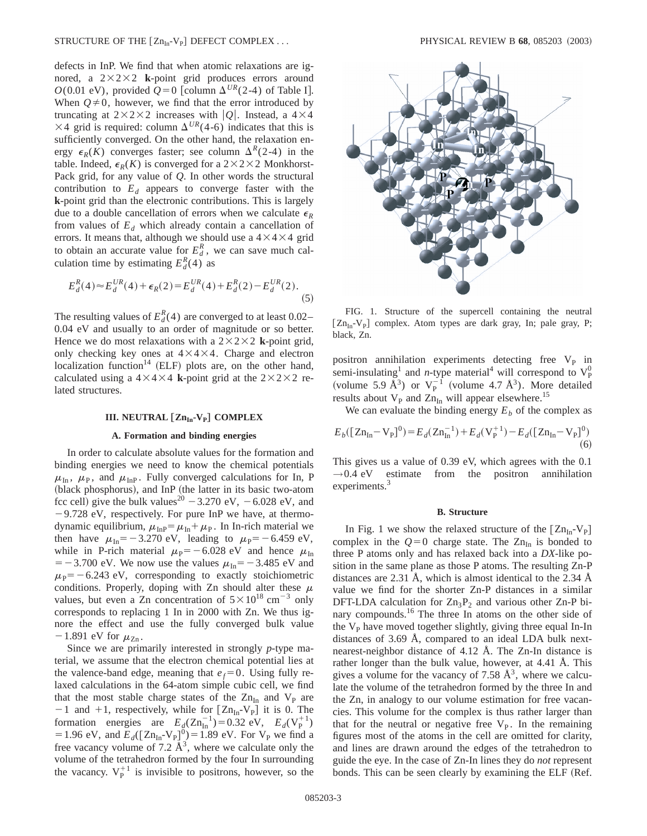defects in InP. We find that when atomic relaxations are ignored, a  $2\times2\times2$  **k**-point grid produces errors around *O*(0.01 eV), provided  $Q=0$  [column  $\Delta^{UR}(2-4)$  of Table I]. When  $Q \neq 0$ , however, we find that the error introduced by truncating at  $2 \times 2 \times 2$  increases with  $|Q|$ . Instead, a  $4 \times 4$  $\times$ 4 grid is required: column  $\Delta^{UR}(4-6)$  indicates that this is sufficiently converged. On the other hand, the relaxation energy  $\epsilon_R(K)$  converges faster; see column  $\Delta^R(2-4)$  in the table. Indeed,  $\epsilon_R(K)$  is converged for a  $2 \times 2 \times 2$  Monkhorst-Pack grid, for any value of *Q*. In other words the structural contribution to  $E<sub>d</sub>$  appears to converge faster with the **k**-point grid than the electronic contributions. This is largely due to a double cancellation of errors when we calculate  $\epsilon_R$ from values of  $E_d$  which already contain a cancellation of errors. It means that, although we should use a  $4 \times 4 \times 4$  grid to obtain an accurate value for  $E_d^R$ , we can save much calculation time by estimating  $E_d^R(4)$  as

$$
E_d^R(4) \approx E_d^{UR}(4) + \epsilon_R(2) = E_d^{UR}(4) + E_d^R(2) - E_d^{UR}(2). \tag{5}
$$

The resulting values of  $E_d^R(4)$  are converged to at least 0.02– 0.04 eV and usually to an order of magnitude or so better. Hence we do most relaxations with a  $2 \times 2 \times 2$  **k**-point grid, only checking key ones at  $4 \times 4 \times 4$ . Charge and electron localization function<sup>14</sup> (ELF) plots are, on the other hand, calculated using a  $4 \times 4 \times 4$  **k**-point grid at the  $2 \times 2 \times 2$  related structures.

#### **III. NEUTRAL** [Zn<sub>In</sub>-V<sub>P</sub>] **COMPLEX**

# **A. Formation and binding energies**

In order to calculate absolute values for the formation and binding energies we need to know the chemical potentials  $\mu_{\text{In}}$ ,  $\mu_{\text{P}}$ , and  $\mu_{\text{InP}}$ . Fully converged calculations for In, P (black phosphorus), and InP (the latter in its basic two-atom fcc cell) give the bulk values<sup>20</sup>  $-3.270$  eV,  $-6.028$  eV, and  $-9.728$  eV, respectively. For pure InP we have, at thermodynamic equilibrium,  $\mu_{\text{InP}} = \mu_{\text{In}} + \mu_{\text{P}}$ . In In-rich material we then have  $\mu_{\text{In}} = -3.270 \text{ eV}$ , leading to  $\mu_{\text{P}} = -6.459 \text{ eV}$ , while in P-rich material  $\mu_{\rm P}$ = -6.028 eV and hence  $\mu_{\rm In}$  $=$  -3.700 eV. We now use the values  $\mu_{\text{In}}$  = -3.485 eV and  $\mu_{\rm P}$ = -6.243 eV, corresponding to exactly stoichiometric conditions. Properly, doping with Zn should alter these  $\mu$ values, but even a Zn concentration of  $5 \times 10^{18}$  cm<sup>-3</sup> only corresponds to replacing 1 In in 2000 with Zn. We thus ignore the effect and use the fully converged bulk value  $-1.891$  eV for  $\mu_{\text{Zn}}$ .

Since we are primarily interested in strongly *p*-type material, we assume that the electron chemical potential lies at the valence-band edge, meaning that  $e_f = 0$ . Using fully relaxed calculations in the 64-atom simple cubic cell, we find that the most stable charge states of the  $Zn_{In}$  and  $V_P$  are  $-1$  and  $+1$ , respectively, while for  $[Zn_{In}-V_{P}]$  it is 0. The formation energies are  $E_d(Zn_{\text{In}}^{-1}) = 0.32 \text{ eV}, E_d(V_P^{+1})$ = 1.96 eV, and  $E_d([Zn_{In} - V_p]^0) = 1.89$  eV. For  $V_p$  we find a free vacancy volume of 7.2  $\AA^3$ , where we calculate only the volume of the tetrahedron formed by the four In surrounding the vacancy.  $V_P^{+1}$  is invisible to positrons, however, so the



FIG. 1. Structure of the supercell containing the neutral  $[Zn_{In}-V_{P}]$  complex. Atom types are dark gray, In; pale gray, P; black, Zn.

positron annihilation experiments detecting free  $V_P$  in semi-insulating<sup>1</sup> and *n*-type material<sup>4</sup> will correspond to  $V_P^0$ (volume 5.9  $\AA^3$ ) or  $V_P^{-1}$  (volume 4.7  $\AA^3$ ). More detailed results about  $V_{\rm p}$  and  $Zn_{\rm In}$  will appear elsewhere.<sup>15</sup>

We can evaluate the binding energy  $E_b$  of the complex as

$$
E_b([Zn_{In} - V_p]^0) = E_d(Zn_{In}^{-1}) + E_d(V_p^{+1}) - E_d([Zn_{In} - V_p]^0)
$$
\n(6)

This gives us a value of 0.39 eV, which agrees with the 0.1  $\rightarrow$  0.4 eV estimate from the positron annihilation experiments.<sup>3</sup>

#### **B. Structure**

In Fig. 1 we show the relaxed structure of the  $[Zn_{In}-V_{P}]$ complex in the  $Q=0$  charge state. The Zn<sub>In</sub> is bonded to three P atoms only and has relaxed back into a *DX*-like position in the same plane as those P atoms. The resulting Zn-P distances are 2.31 Å, which is almost identical to the 2.34 Å value we find for the shorter Zn-P distances in a similar DFT-LDA calculation for  $Zn_3P_2$  and various other Zn-P binary compounds.<sup>16</sup> The three In atoms on the other side of the  $V<sub>p</sub>$  have moved together slightly, giving three equal In-In distances of 3.69 Å, compared to an ideal LDA bulk nextnearest-neighbor distance of 4.12 Å. The Zn-In distance is rather longer than the bulk value, however, at 4.41 Å. This gives a volume for the vacancy of 7.58  $\AA^3$ , where we calculate the volume of the tetrahedron formed by the three In and the Zn, in analogy to our volume estimation for free vacancies. This volume for the complex is thus rather larger than that for the neutral or negative free  $V_P$ . In the remaining figures most of the atoms in the cell are omitted for clarity, and lines are drawn around the edges of the tetrahedron to guide the eye. In the case of Zn-In lines they do *not* represent bonds. This can be seen clearly by examining the ELF (Ref.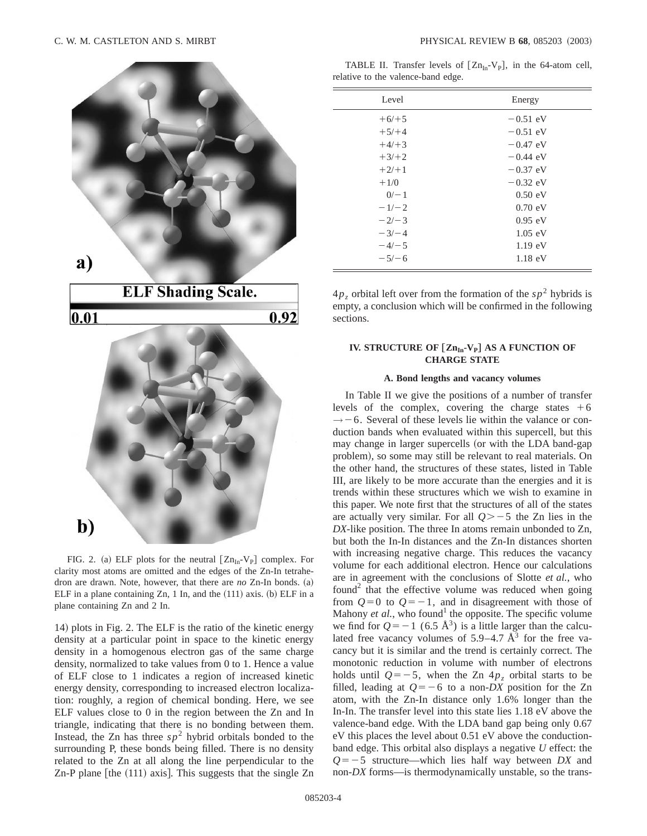

FIG. 2. (a) ELF plots for the neutral  $[Zn_{In}-V_{P}]$  complex. For clarity most atoms are omitted and the edges of the Zn-In tetrahedron are drawn. Note, however, that there are  $no$  Zn-In bonds.  $(a)$ ELF in a plane containing  $Zn$ , 1 In, and the  $(111)$  axis.  $(b)$  ELF in a plane containing Zn and 2 In.

14) plots in Fig. 2. The ELF is the ratio of the kinetic energy density at a particular point in space to the kinetic energy density in a homogenous electron gas of the same charge density, normalized to take values from 0 to 1. Hence a value of ELF close to 1 indicates a region of increased kinetic energy density, corresponding to increased electron localization: roughly, a region of chemical bonding. Here, we see ELF values close to 0 in the region between the Zn and In triangle, indicating that there is no bonding between them. Instead, the Zn has three  $s p^2$  hybrid orbitals bonded to the surrounding P, these bonds being filled. There is no density related to the Zn at all along the line perpendicular to the Zn-P plane  $[$ the  $(111)$  axis $]$ . This suggests that the single Zn

TABLE II. Transfer levels of  $[Zn_{In}-V_P]$ , in the 64-atom cell, relative to the valence-band edge.

| Level   | Energy            |
|---------|-------------------|
| $+6/+5$ | $-0.51$ eV        |
| $+5/+4$ | $-0.51$ eV        |
| $+4/+3$ | $-0.47$ eV        |
| $+3/+2$ | $-0.44$ eV        |
| $+2/+1$ | $-0.37$ eV        |
| $+1/0$  | $-0.32$ eV        |
| $0/-1$  | 0.50 eV           |
| $-1/-2$ | $0.70 \text{ eV}$ |
| $-2/-3$ | $0.95$ eV         |
| $-3/-4$ | $1.05$ eV         |
| $-4/-5$ | $1.19 \text{ eV}$ |
| $-5/-6$ | $1.18 \text{ eV}$ |

 $4p_z$  orbital left over from the formation of the  $sp^2$  hybrids is empty, a conclusion which will be confirmed in the following sections.

# **IV. STRUCTURE OF [Zn<sub>In</sub>-V<sub>P</sub>] AS A FUNCTION OF CHARGE STATE**

# **A. Bond lengths and vacancy volumes**

In Table II we give the positions of a number of transfer levels of the complex, covering the charge states  $+6$  $\rightarrow$  -6. Several of these levels lie within the valance or conduction bands when evaluated within this supercell, but this may change in larger supercells (or with the LDA band-gap problem), so some may still be relevant to real materials. On the other hand, the structures of these states, listed in Table III, are likely to be more accurate than the energies and it is trends within these structures which we wish to examine in this paper. We note first that the structures of all of the states are actually very similar. For all  $Q \ge -5$  the Zn lies in the *DX*-like position. The three In atoms remain unbonded to Zn, but both the In-In distances and the Zn-In distances shorten with increasing negative charge. This reduces the vacancy volume for each additional electron. Hence our calculations are in agreement with the conclusions of Slotte *et al.*, who found<sup>2</sup> that the effective volume was reduced when going from  $Q=0$  to  $Q=-1$ , and in disagreement with those of Mahony  $et$   $al$ , who found<sup>1</sup> the opposite. The specific volume we find for  $Q=-1$  (6.5 Å<sup>3</sup>) is a little larger than the calculated free vacancy volumes of  $5.9-4.7 \text{ Å}^3$  for the free vacancy but it is similar and the trend is certainly correct. The monotonic reduction in volume with number of electrons holds until  $Q=-5$ , when the Zn  $4p<sub>z</sub>$  orbital starts to be filled, leading at  $Q=-6$  to a non-*DX* position for the Zn atom, with the Zn-In distance only 1.6% longer than the In-In. The transfer level into this state lies 1.18 eV above the valence-band edge. With the LDA band gap being only 0.67 eV this places the level about 0.51 eV above the conductionband edge. This orbital also displays a negative *U* effect: the  $Q=-5$  structure—which lies half way between *DX* and non-*DX* forms—is thermodynamically unstable, so the trans-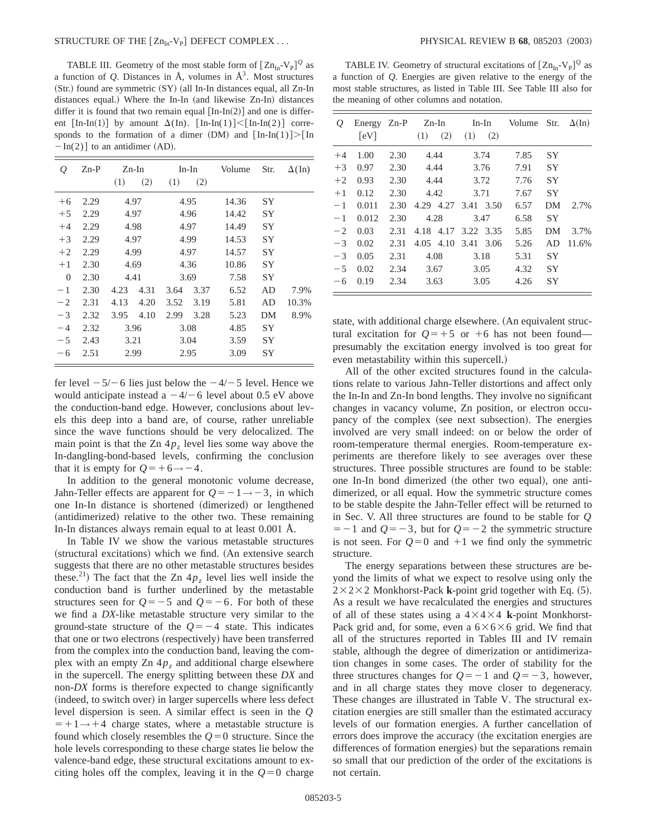### STRUCTURE OF THE @ZnIn-VP# DEFECT COMPLEX . . . PHYSICAL REVIEW B **68**, 085203 ~2003!

TABLE III. Geometry of the most stable form of  $[\text{Zn}_{\text{In}}\text{-V}_{\text{P}}]^{\mathcal{Q}}$  as a function of  $Q$ . Distances in  $\AA$ , volumes in  $\AA$ <sup>3</sup>. Most structures  $(Str.)$  found are symmetric  $(SY)$  (all In-In distances equal, all Zn-In distances equal.) Where the In-In (and likewise Zn-In) distances differ it is found that two remain equal  $[In-In(2)]$  and one is different  $\lceil \text{In-In}(1) \rceil$  by amount  $\Delta(\text{In})$ .  $\lceil \text{In-In}(1) \rceil < \lceil \text{In-In}(2) \rceil$  corresponds to the formation of a dimer (DM) and  $[In-In(1)] > [In$  $-In(2)$ ] to an antidimer (AD).

| Q              | $Zn-P$ | (1)  | Zn-In<br>(2) | (1)  | In-In<br>(2) | Volume | Str.      | $\Delta(\text{In})$ |
|----------------|--------|------|--------------|------|--------------|--------|-----------|---------------------|
| $+6$           | 2.29   |      | 4.97         |      | 4.95         | 14.36  | SY        |                     |
| $+5$           | 2.29   |      | 4.97         |      | 4.96         | 14.42  | SY        |                     |
| $+4$           | 2.29   |      | 4.98         | 4.97 |              | 14.49  | SY        |                     |
| $+3$           | 2.29   |      | 4.97         |      | 4.99         | 14.53  | SY        |                     |
| $+2$           | 2.29   |      | 4.99         | 4.97 |              | 14.57  | <b>SY</b> |                     |
| $+1$           | 2.30   |      | 4.69         |      | 4.36         | 10.86  | <b>SY</b> |                     |
| $\overline{0}$ | 2.30   |      | 4.41         |      | 3.69         | 7.58   | SY        |                     |
| $-1$           | 2.30   | 4.23 | 4.31         | 3.64 | 3.37         | 6.52   | AD        | 7.9%                |
| $-2$           | 2.31   | 4.13 | 4.20         | 3.52 | 3.19         | 5.81   | AD        | 10.3%               |
| $-3$           | 2.32   | 3.95 | 4.10         | 2.99 | 3.28         | 5.23   | DM        | 8.9%                |
| $-4$           | 2.32   |      | 3.96         |      | 3.08         | 4.85   | SY        |                     |
| $-5$           | 2.43   |      | 3.21         |      | 3.04         | 3.59   | SY        |                     |
| $-6$           | 2.51   |      | 2.99         | 2.95 |              | 3.09   | SΥ        |                     |

fer level  $-5/-6$  lies just below the  $-4/-5$  level. Hence we would anticipate instead a  $-4/-6$  level about 0.5 eV above the conduction-band edge. However, conclusions about levels this deep into a band are, of course, rather unreliable since the wave functions should be very delocalized. The main point is that the Zn  $4p<sub>z</sub>$  level lies some way above the In-dangling-bond-based levels, confirming the conclusion that it is empty for  $Q=+6 \rightarrow -4$ .

In addition to the general monotonic volume decrease, Jahn-Teller effects are apparent for  $Q=-1 \rightarrow -3$ , in which one In-In distance is shortened (dimerized) or lengthened (antidimerized) relative to the other two. These remaining In-In distances always remain equal to at least 0.001 Å.

In Table IV we show the various metastable structures (structural excitations) which we find. (An extensive search suggests that there are no other metastable structures besides these.<sup>21</sup>) The fact that the Zn  $4p<sub>z</sub>$  level lies well inside the conduction band is further underlined by the metastable structures seen for  $Q=-5$  and  $Q=-6$ . For both of these we find a *DX*-like metastable structure very similar to the ground-state structure of the  $Q=-4$  state. This indicates that one or two electrons (respectively) have been transferred from the complex into the conduction band, leaving the complex with an empty  $\text{Zn } 4p<sub>z</sub>$  and additional charge elsewhere in the supercell. The energy splitting between these *DX* and non-*DX* forms is therefore expected to change significantly (indeed, to switch over) in larger supercells where less defect level dispersion is seen. A similar effect is seen in the *Q*  $=+1 \rightarrow +4$  charge states, where a metastable structure is found which closely resembles the  $Q=0$  structure. Since the hole levels corresponding to these charge states lie below the valence-band edge, these structural excitations amount to exciting holes off the complex, leaving it in the  $Q=0$  charge

TABLE IV. Geometry of structural excitations of  $[\text{Zn}_{\text{In}}\text{-V}_{\text{P}}]^{\mathcal{Q}}$  as a function of *Q*. Energies are given relative to the energy of the most stable structures, as listed in Table III. See Table III also for the meaning of other columns and notation.

| $\overline{O}$ | Energy $Zn-P$ $Zn-In$ $In-In$<br>[eV] |      | (1)  | (2)  |                     | $(1)$ $(2)$ | Volume Str. |           | $\Delta(\text{In})$ |
|----------------|---------------------------------------|------|------|------|---------------------|-------------|-------------|-----------|---------------------|
|                |                                       |      |      |      |                     |             |             |           |                     |
| $+4$           | 1.00                                  | 2.30 |      | 4.44 |                     | 3.74        | 7.85        | <b>SY</b> |                     |
| $+3$           | 0.97                                  | 2.30 | 4.44 |      |                     | 3.76        | 7.91        | <b>SY</b> |                     |
| $+2$           | 0.93                                  | 2.30 | 4.44 |      |                     | 3.72        | 7.76        | <b>SY</b> |                     |
| $+1$           | 0.12                                  | 2.30 |      | 4.42 |                     | 3.71        | 7.67        | <b>SY</b> |                     |
| $-1$           | 0.011                                 | 2.30 |      |      | 4.29 4.27 3.41 3.50 |             | 6.57        | DM        | 2.7%                |
| $-1$           | 0.012                                 | 2.30 | 4.28 |      | 3.47                |             | 6.58        | <b>SY</b> |                     |
| $-2$           | 0.03                                  | 2.31 |      |      | 4.18 4.17 3.22 3.35 |             | 5.85        | DM        | 3.7%                |
| $-3$           | 0.02                                  | 2.31 |      |      | 4.05 4.10 3.41 3.06 |             | 5.26        | AD.       | 11.6%               |
| $-3$           | 0.05                                  | 2.31 |      | 4.08 |                     | 3.18        | 5.31        | <b>SY</b> |                     |
| $-5$           | 0.02                                  | 2.34 |      | 3.67 |                     | 3.05        | 4.32        | <b>SY</b> |                     |
| <sup>-6</sup>  | 0.19                                  | 2.34 |      | 3.63 |                     | 3.05        | 4.26        | <b>SY</b> |                     |

state, with additional charge elsewhere. (An equivalent structural excitation for  $Q=+5$  or  $+6$  has not been found presumably the excitation energy involved is too great for even metastability within this supercell.)

All of the other excited structures found in the calculations relate to various Jahn-Teller distortions and affect only the In-In and Zn-In bond lengths. They involve no significant changes in vacancy volume, Zn position, or electron occupancy of the complex (see next subsection). The energies involved are very small indeed: on or below the order of room-temperature thermal energies. Room-temperature experiments are therefore likely to see averages over these structures. Three possible structures are found to be stable: one In-In bond dimerized (the other two equal), one antidimerized, or all equal. How the symmetric structure comes to be stable despite the Jahn-Teller effect will be returned to in Sec. V. All three structures are found to be stable for *Q*  $=$  -1 and  $Q=-3$ , but for  $Q=-2$  the symmetric structure is not seen. For  $Q=0$  and  $+1$  we find only the symmetric structure.

The energy separations between these structures are beyond the limits of what we expect to resolve using only the  $2 \times 2 \times 2$  Monkhorst-Pack **k**-point grid together with Eq. (5). As a result we have recalculated the energies and structures of all of these states using a  $4 \times 4 \times 4$  **k**-point Monkhorst-Pack grid and, for some, even a  $6\times6\times6$  grid. We find that all of the structures reported in Tables III and IV remain stable, although the degree of dimerization or antidimerization changes in some cases. The order of stability for the three structures changes for  $Q=-1$  and  $Q=-3$ , however, and in all charge states they move closer to degeneracy. These changes are illustrated in Table V. The structural excitation energies are still smaller than the estimated accuracy levels of our formation energies. A further cancellation of errors does improve the accuracy (the excitation energies are differences of formation energies) but the separations remain so small that our prediction of the order of the excitations is not certain.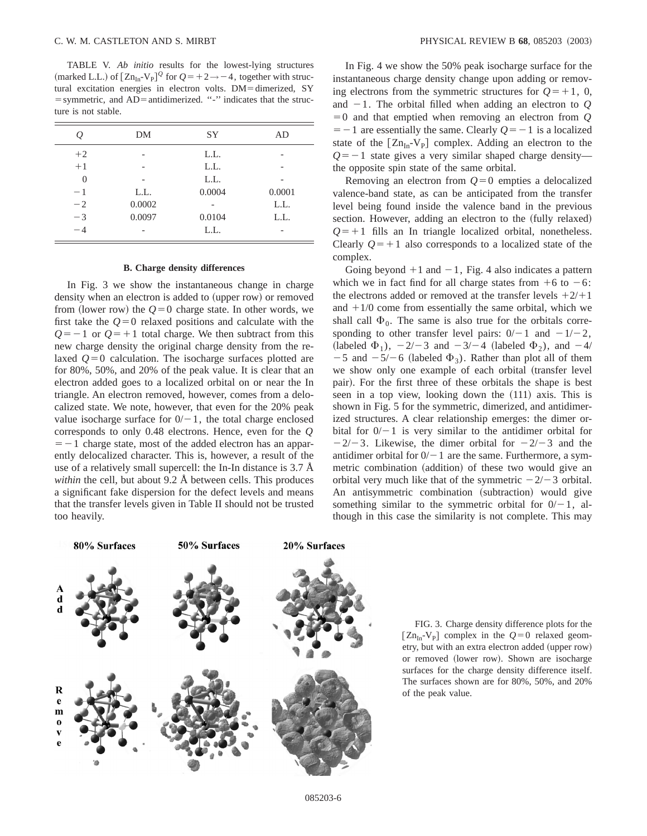TABLE V. *Ab initio* results for the lowest-lying structures (marked L.L.) of  $[Zn_{In} - V_p]^Q$  for  $Q = +2 \rightarrow -4$ , together with structural excitation energies in electron volts. DM=dimerized, SY  $=$  symmetric, and AD $=$  antidimerized.  $\cdot \cdot \cdot$  indicates that the structure is not stable.

|          | DΜ     | SY     | AD     |
|----------|--------|--------|--------|
| $+2$     |        | L.L.   |        |
| $+1$     |        | L.L.   |        |
| $\theta$ |        | L.L.   |        |
| $-1$     | L.L.   | 0.0004 | 0.0001 |
| $-2$     | 0.0002 |        | L.L.   |
| $-3$     | 0.0097 | 0.0104 | L.L.   |
| $-4$     |        | L.L.   |        |

# **B. Charge density differences**

In Fig. 3 we show the instantaneous change in charge density when an electron is added to (upper row) or removed from (lower row) the  $Q=0$  charge state. In other words, we first take the  $Q=0$  relaxed positions and calculate with the  $Q=-1$  or  $Q=+1$  total charge. We then subtract from this new charge density the original charge density from the relaxed  $Q=0$  calculation. The isocharge surfaces plotted are for 80%, 50%, and 20% of the peak value. It is clear that an electron added goes to a localized orbital on or near the In triangle. An electron removed, however, comes from a delocalized state. We note, however, that even for the 20% peak value isocharge surface for  $0/-1$ , the total charge enclosed corresponds to only 0.48 electrons. Hence, even for the *Q*  $=$  -1 charge state, most of the added electron has an apparently delocalized character. This is, however, a result of the use of a relatively small supercell: the In-In distance is 3.7 Å *within* the cell, but about 9.2 Å between cells. This produces a significant fake dispersion for the defect levels and means that the transfer levels given in Table II should not be trusted too heavily.

In Fig. 4 we show the 50% peak isocharge surface for the instantaneous charge density change upon adding or removing electrons from the symmetric structures for  $Q=+1, 0$ , and  $-1$ . The orbital filled when adding an electron to  $Q$  $=0$  and that emptied when removing an electron from  $Q$  $=$  -1 are essentially the same. Clearly  $Q=-1$  is a localized state of the  $[Zn_{In}-V_{P}]$  complex. Adding an electron to the  $Q=-1$  state gives a very similar shaped charge density the opposite spin state of the same orbital.

Removing an electron from  $Q=0$  empties a delocalized valence-band state, as can be anticipated from the transfer level being found inside the valence band in the previous section. However, adding an electron to the (fully relaxed)  $Q=+1$  fills an In triangle localized orbital, nonetheless. Clearly  $Q = +1$  also corresponds to a localized state of the complex.

Going beyond  $+1$  and  $-1$ , Fig. 4 also indicates a pattern which we in fact find for all charge states from  $+6$  to  $-6$ : the electrons added or removed at the transfer levels  $+2/11$ and  $+1/0$  come from essentially the same orbital, which we shall call  $\Phi_0$ . The same is also true for the orbitals corresponding to other transfer level pairs:  $0/-1$  and  $-1/-2$ , (labeled  $\Phi_1$ ),  $-2/-3$  and  $-3/-4$  (labeled  $\Phi_2$ ), and  $-4/$  $-5$  and  $-5/-6$  (labeled  $\Phi_3$ ). Rather than plot all of them we show only one example of each orbital (transfer level pair). For the first three of these orbitals the shape is best seen in a top view, looking down the (111) axis. This is shown in Fig. 5 for the symmetric, dimerized, and antidimerized structures. A clear relationship emerges: the dimer orbital for  $0/-1$  is very similar to the antidimer orbital for  $-2/-3$ . Likewise, the dimer orbital for  $-2/-3$  and the antidimer orbital for  $0/-1$  are the same. Furthermore, a symmetric combination (addition) of these two would give an orbital very much like that of the symmetric  $-2/-3$  orbital. An antisymmetric combination (subtraction) would give something similar to the symmetric orbital for  $0/-1$ , although in this case the similarity is not complete. This may



FIG. 3. Charge density difference plots for the  $[Zn_{In}$ -V<sub>P</sub> complex in the  $Q=0$  relaxed geometry, but with an extra electron added (upper row) or removed (lower row). Shown are isocharge surfaces for the charge density difference itself. The surfaces shown are for 80%, 50%, and 20% of the peak value.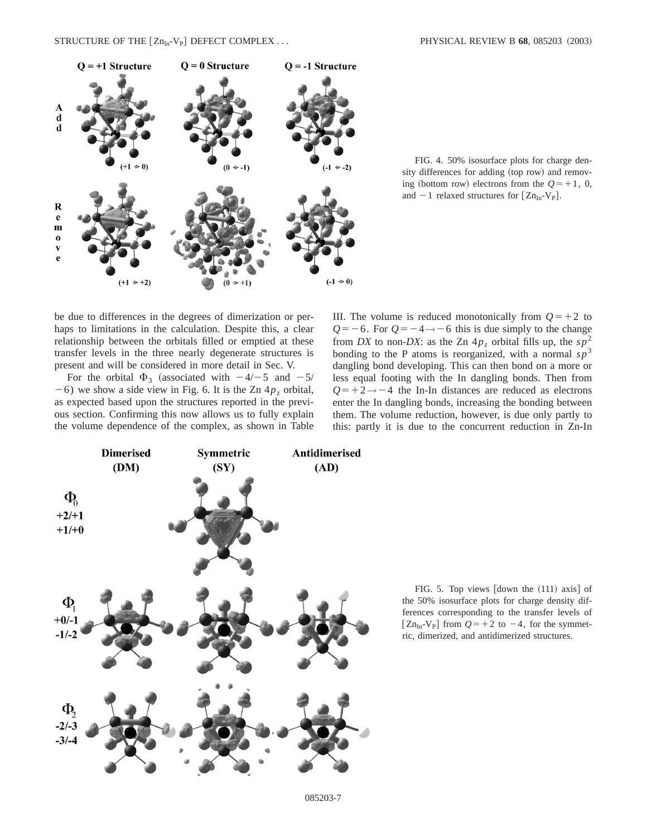

FIG. 4. 50% isosurface plots for charge density differences for adding (top row) and removing (bottom row) electrons from the  $Q=+1, 0$ , and  $-1$  relaxed structures for  $[Zn_{In}-V_P]$ .

be due to differences in the degrees of dimerization or perhaps to limitations in the calculation. Despite this, a clear relationship between the orbitals filled or emptied at these transfer levels in the three nearly degenerate structures is present and will be considered in more detail in Sec. V.

For the orbital  $\Phi_3$  (associated with  $-4/-5$  and  $-5/$  $-6$ ) we show a side view in Fig. 6. It is the Zn  $4p<sub>z</sub>$  orbital, as expected based upon the structures reported in the previous section. Confirming this now allows us to fully explain the volume dependence of the complex, as shown in Table III. The volume is reduced monotonically from  $Q=+2$  to  $Q=-6$ . For  $Q=-4 \rightarrow -6$  this is due simply to the change from *DX* to non-*DX*: as the Zn  $4p_z$  orbital fills up, the  $sp^2$ bonding to the P atoms is reorganized, with a normal  $sp<sup>3</sup>$ dangling bond developing. This can then bond on a more or less equal footing with the In dangling bonds. Then from  $Q=+2 \rightarrow -4$  the In-In distances are reduced as electrons enter the In dangling bonds, increasing the bonding between them. The volume reduction, however, is due only partly to this: partly it is due to the concurrent reduction in Zn-In



FIG. 5. Top views  $\lceil \text{down the} (111) \text{ axis} \rceil$  of the 50% isosurface plots for charge density differences corresponding to the transfer levels of  $[Zn_{In}-V_{P}]$  from  $Q=+2$  to  $-4$ , for the symmetric, dimerized, and antidimerized structures.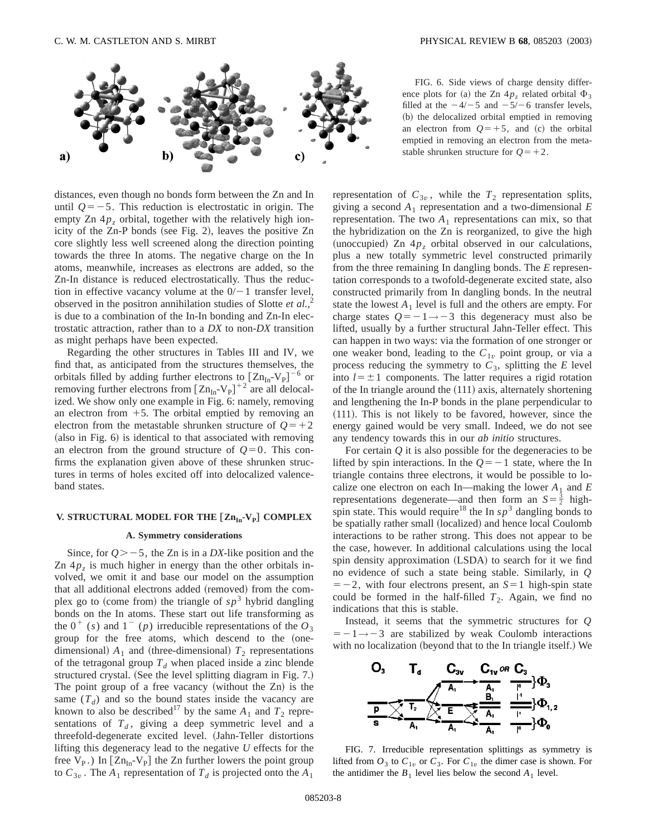

distances, even though no bonds form between the Zn and In until  $Q=-5$ . This reduction is electrostatic in origin. The empty Zn  $4p<sub>z</sub>$  orbital, together with the relatively high ionicity of the Zn-P bonds (see Fig. 2), leaves the positive Zn core slightly less well screened along the direction pointing towards the three In atoms. The negative charge on the In atoms, meanwhile, increases as electrons are added, so the Zn-In distance is reduced electrostatically. Thus the reduction in effective vacancy volume at the  $0/-1$  transfer level, observed in the positron annihilation studies of Slotte *et al.*, 2 is due to a combination of the In-In bonding and Zn-In electrostatic attraction, rather than to a *DX* to non-*DX* transition as might perhaps have been expected.

Regarding the other structures in Tables III and IV, we find that, as anticipated from the structures themselves, the orbitals filled by adding further electrons to  $[Zn_{In}-V_P]^{-6}$  or removing further electrons from  $[Zn_{In} - V_P]^{+2}$  are all delocalized. We show only one example in Fig. 6: namely, removing an electron from  $+5$ . The orbital emptied by removing an electron from the metastable shrunken structure of  $Q=+2$  $(a$ lso in Fig.  $6$ ) is identical to that associated with removing an electron from the ground structure of  $Q=0$ . This confirms the explanation given above of these shrunken structures in terms of holes excited off into delocalized valenceband states.

# **V. STRUCTURAL MODEL FOR THE**  $[Zn_{In}-V_P]$  **COMPLEX**

#### **A. Symmetry considerations**

Since, for  $Q \ge -5$ , the Zn is in a *DX*-like position and the Zn  $4p<sub>z</sub>$  is much higher in energy than the other orbitals involved, we omit it and base our model on the assumption that all additional electrons added (removed) from the complex go to (come from) the triangle of  $sp<sup>3</sup>$  hybrid dangling bonds on the In atoms. These start out life transforming as the  $0^+$  (*s*) and  $1^-$  (*p*) irreducible representations of the  $O_3$ group for the free atoms, which descend to the (onedimensional)  $A_1$  and (three-dimensional)  $T_2$  representations of the tetragonal group  $T_d$  when placed inside a zinc blende structured crystal. (See the level splitting diagram in Fig. 7.) The point group of a free vacancy (without the  $Zn$ ) is the same  $(T_d)$  and so the bound states inside the vacancy are known to also be described<sup>17</sup> by the same  $A_1$  and  $T_2$  representations of  $T<sub>d</sub>$ , giving a deep symmetric level and a threefold-degenerate excited level. (Jahn-Teller distortions lifting this degeneracy lead to the negative *U* effects for the free  $V_P$ .) In  $[Zn_{In}-V_P]$  the Zn further lowers the point group to  $C_{3v}$ . The  $A_1$  representation of  $T_d$  is projected onto the  $A_1$ 

FIG. 6. Side views of charge density difference plots for (a) the Zn  $4p<sub>z</sub>$  related orbital  $\Phi<sub>3</sub>$ filled at the  $-4/-5$  and  $-5/-6$  transfer levels, (b) the delocalized orbital emptied in removing an electron from  $Q=+5$ , and (c) the orbital emptied in removing an electron from the metastable shrunken structure for  $Q=+2$ .

representation of  $C_{3v}$ , while the  $T_2$  representation splits, giving a second  $A_1$  representation and a two-dimensional  $E$ representation. The two  $A_1$  representations can mix, so that the hybridization on the Zn is reorganized, to give the high (unoccupied) Zn  $4p<sub>z</sub>$  orbital observed in our calculations, plus a new totally symmetric level constructed primarily from the three remaining In dangling bonds. The *E* representation corresponds to a twofold-degenerate excited state, also constructed primarily from In dangling bonds. In the neutral state the lowest  $A_1$  level is full and the others are empty. For charge states  $Q=-1 \rightarrow -3$  this degeneracy must also be lifted, usually by a further structural Jahn-Teller effect. This can happen in two ways: via the formation of one stronger or one weaker bond, leading to the  $C_{1v}$  point group, or via a process reducing the symmetry to  $C_3$ , splitting the  $E$  level into  $l = \pm 1$  components. The latter requires a rigid rotation of the In triangle around the  $(111)$  axis, alternately shortening and lengthening the In-P bonds in the plane perpendicular to  $(111)$ . This is not likely to be favored, however, since the energy gained would be very small. Indeed, we do not see any tendency towards this in our *ab initio* structures.

For certain *Q* it is also possible for the degeneracies to be lifted by spin interactions. In the  $Q=-1$  state, where the In triangle contains three electrons, it would be possible to localize one electron on each In—making the lower  $A_1$  and  $E$ representations degenerate—and then form an  $S = \frac{3}{2}$  highspin state. This would require<sup>18</sup> the In  $sp<sup>3</sup>$  dangling bonds to be spatially rather small (localized) and hence local Coulomb interactions to be rather strong. This does not appear to be the case, however. In additional calculations using the local spin density approximation  $(LSDA)$  to search for it we find no evidence of such a state being stable. Similarly, in *Q*  $=$  -2, with four electrons present, an *S*=1 high-spin state could be formed in the half-filled  $T_2$ . Again, we find no indications that this is stable.

Instead, it seems that the symmetric structures for *Q*  $=$  -1  $\rightarrow$  -3 are stabilized by weak Coulomb interactions with no localization (beyond that to the In triangle itself.) We



FIG. 7. Irreducible representation splittings as symmetry is lifted from  $O_3$  to  $C_{1v}$  or  $C_3$ . For  $C_{1v}$  the dimer case is shown. For the antidimer the  $B_1$  level lies below the second  $A_1$  level.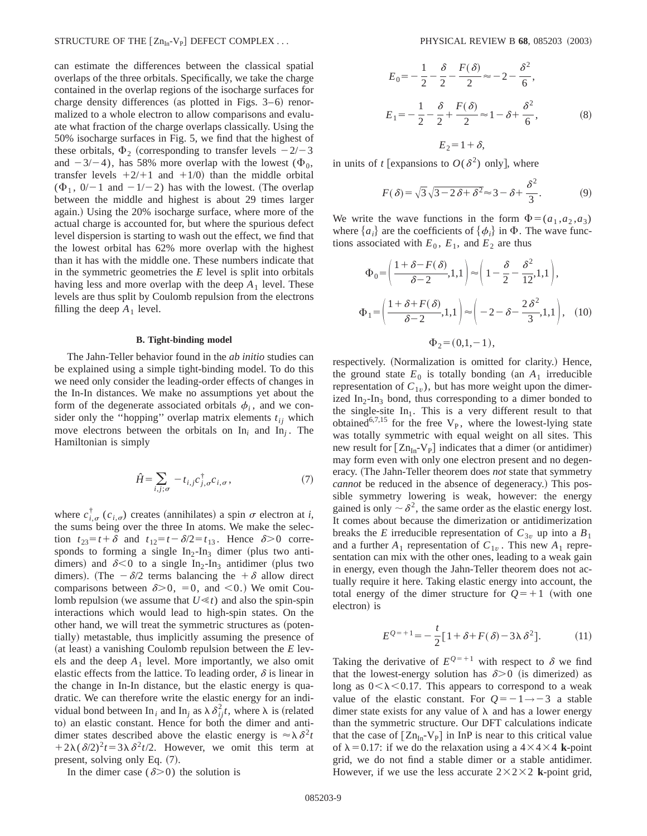can estimate the differences between the classical spatial overlaps of the three orbitals. Specifically, we take the charge contained in the overlap regions of the isocharge surfaces for charge density differences (as plotted in Figs.  $3-6$ ) renormalized to a whole electron to allow comparisons and evaluate what fraction of the charge overlaps classically. Using the 50% isocharge surfaces in Fig. 5, we find that the highest of these orbitals,  $\Phi_2$  (corresponding to transfer levels  $-2/-3$ and  $-3/-4$ ), has 58% more overlap with the lowest ( $\Phi_0$ , transfer levels  $+2/1$  and  $+1/0$ ) than the middle orbital  $(\Phi_1, 0/-1$  and  $-1/-2$ ) has with the lowest. (The overlap between the middle and highest is about 29 times larger again.) Using the 20% isocharge surface, where more of the actual charge is accounted for, but where the spurious defect level dispersion is starting to wash out the effect, we find that the lowest orbital has 62% more overlap with the highest than it has with the middle one. These numbers indicate that in the symmetric geometries the *E* level is split into orbitals having less and more overlap with the deep  $A_1$  level. These levels are thus split by Coulomb repulsion from the electrons filling the deep  $A_1$  level.

#### **B. Tight-binding model**

The Jahn-Teller behavior found in the *ab initio* studies can be explained using a simple tight-binding model. To do this we need only consider the leading-order effects of changes in the In-In distances. We make no assumptions yet about the form of the degenerate associated orbitals  $\phi_i$ , and we consider only the "hopping" overlap matrix elements  $t_{ij}$  which move electrons between the orbitals on  $\text{In}_i$  and  $\text{In}_i$ . The Hamiltonian is simply

$$
\hat{H} = \sum_{i,j;\sigma} -t_{i,j}c_{j,\sigma}^{\dagger}c_{i,\sigma},\tag{7}
$$

where  $c_{i,\sigma}^{\dagger}$  ( $c_{i,\sigma}$ ) creates (annihilates) a spin  $\sigma$  electron at *i*, the sums being over the three In atoms. We make the selection  $t_{23}=t+\delta$  and  $t_{12}=t-\delta/2=t_{13}$ . Hence  $\delta>0$  corresponds to forming a single  $In_2-In_3$  dimer (plus two antidimers) and  $\delta$ <0 to a single In<sub>2</sub>-In<sub>3</sub> antidimer (plus two dimers). (The  $-\delta/2$  terms balancing the  $+\delta$  allow direct comparisons between  $\delta$ >0, =0, and <0.) We omit Coulomb repulsion (we assume that  $U \ll t$ ) and also the spin-spin interactions which would lead to high-spin states. On the other hand, we will treat the symmetric structures as (potentially) metastable, thus implicitly assuming the presence of (at least) a vanishing Coulomb repulsion between the  $E$  levels and the deep  $A_1$  level. More importantly, we also omit elastic effects from the lattice. To leading order,  $\delta$  is linear in the change in In-In distance, but the elastic energy is quadratic. We can therefore write the elastic energy for an individual bond between In<sub>*i*</sub> and In<sub>j</sub> as  $\lambda \delta_{ij}^2 t$ , where  $\lambda$  is (related to) an elastic constant. Hence for both the dimer and antidimer states described above the elastic energy is  $\approx \lambda \delta^2 t$  $1+2\lambda(\delta/2)^2t=3\lambda\delta^2t/2$ . However, we omit this term at present, solving only Eq.  $(7)$ .

In the dimer case ( $\delta$ >0) the solution is

$$
E_0 = -\frac{1}{2} - \frac{\delta}{2} - \frac{F(\delta)}{2} \approx -2 - \frac{\delta^2}{6},
$$
  
\n
$$
E_1 = -\frac{1}{2} - \frac{\delta}{2} + \frac{F(\delta)}{2} \approx 1 - \delta + \frac{\delta^2}{6},
$$
  
\n
$$
E_2 = 1 + \delta,
$$
 (8)

in units of *t* [expansions to  $O(\delta^2)$  only], where

$$
F(\delta) = \sqrt{3}\sqrt{3 - 2\delta + \delta^2} \approx 3 - \delta + \frac{\delta^2}{3}.
$$
 (9)

We write the wave functions in the form  $\Phi = (a_1, a_2, a_3)$ where  ${a_i}$  are the coefficients of  ${\phi_i}$  in  $\Phi$ . The wave functions associated with  $E_0$ ,  $E_1$ , and  $E_2$  are thus

$$
\Phi_0 = \left(\frac{1+\delta - F(\delta)}{\delta - 2}, 1, 1\right) \approx \left(1 - \frac{\delta}{2} - \frac{\delta^2}{12}, 1, 1\right),
$$
\n
$$
\Phi_1 = \left(\frac{1+\delta + F(\delta)}{\delta - 2}, 1, 1\right) \approx \left(-2 - \delta - \frac{2\delta^2}{3}, 1, 1\right), \quad (10)
$$
\n
$$
\Phi_2 = (0, 1, -1),
$$

respectively. (Normalization is omitted for clarity.) Hence, the ground state  $E_0$  is totally bonding (an  $A_1$  irreducible representation of  $C_{1v}$ ), but has more weight upon the dimerized  $In_2-In_3$  bond, thus corresponding to a dimer bonded to the single-site  $In<sub>1</sub>$ . This is a very different result to that obtained<sup>6,7,15</sup> for the free  $V_{P}$ , where the lowest-lying state was totally symmetric with equal weight on all sites. This new result for  $[Zn_{In}-V_{P}]$  indicates that a dimer (or antidimer) may form even with only one electron present and no degeneracy. (The Jahn-Teller theorem does *not* state that symmetry *cannot* be reduced in the absence of degeneracy.) This possible symmetry lowering is weak, however: the energy gained is only  $\sim \delta^2$ , the same order as the elastic energy lost. It comes about because the dimerization or antidimerization breaks the *E* irreducible representation of  $C_{3v}$  up into a  $B_1$ and a further  $A_1$  representation of  $C_{1v}$ . This new  $A_1$  representation can mix with the other ones, leading to a weak gain in energy, even though the Jahn-Teller theorem does not actually require it here. Taking elastic energy into account, the total energy of the dimer structure for  $Q=+1$  (with one electron) is

$$
E^{Q=+1} = -\frac{t}{2} [1 + \delta + F(\delta) - 3\lambda \delta^2].
$$
 (11)

Taking the derivative of  $E^{Q=+1}$  with respect to  $\delta$  we find that the lowest-energy solution has  $\delta$  > 0 (is dimerized) as long as  $0<\lambda<0.17$ . This appears to correspond to a weak value of the elastic constant. For  $Q=-1 \rightarrow -3$  a stable dimer state exists for any value of  $\lambda$  and has a lower energy than the symmetric structure. Our DFT calculations indicate that the case of  $[Zn_{In}-V_P]$  in InP is near to this critical value of  $\lambda$ =0.17: if we do the relaxation using a 4 $\times$ 4 $\times$ 4 **k**-point grid, we do not find a stable dimer or a stable antidimer. However, if we use the less accurate  $2 \times 2 \times 2$  **k**-point grid,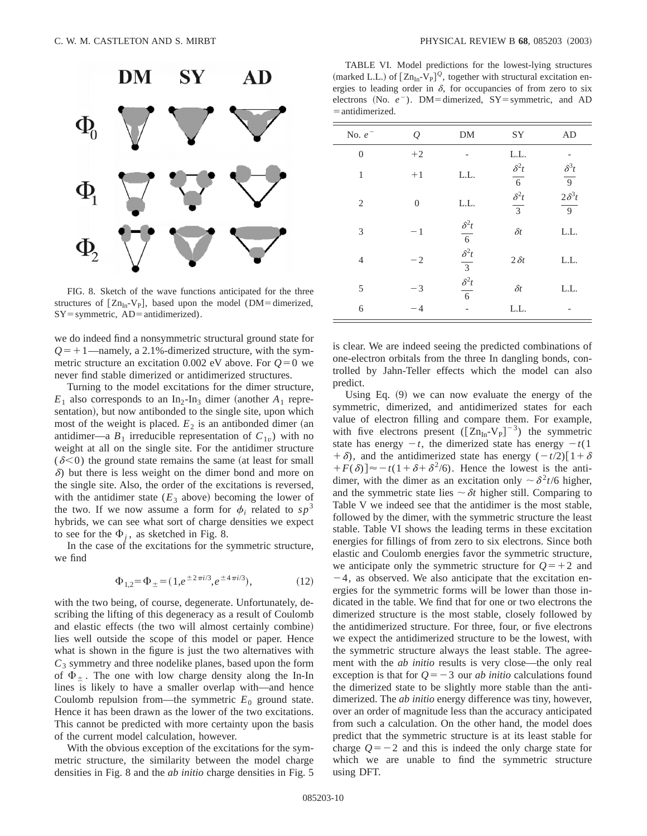

FIG. 8. Sketch of the wave functions anticipated for the three structures of  $[Zn_{In}-V_{P}],$  based upon the model (DM=dimerized,  $SY = symmetric$ ,  $AD = antidimerized$ .

we do indeed find a nonsymmetric structural ground state for  $Q=+1$ —namely, a 2.1%-dimerized structure, with the symmetric structure an excitation 0.002 eV above. For  $Q=0$  we never find stable dimerized or antidimerized structures.

Turning to the model excitations for the dimer structure,  $E_1$  also corresponds to an In<sub>2</sub>-In<sub>3</sub> dimer (another  $A_1$  representation), but now antibonded to the single site, upon which most of the weight is placed.  $E_2$  is an antibonded dimer (an antidimer—a  $B_1$  irreducible representation of  $C_{1v}$ ) with no weight at all on the single site. For the antidimer structure  $(\delta \leq 0)$  the ground state remains the same (at least for small  $\delta$ ) but there is less weight on the dimer bond and more on the single site. Also, the order of the excitations is reversed, with the antidimer state  $(E_3$  above) becoming the lower of the two. If we now assume a form for  $\phi_i$  related to  $sp^3$ hybrids, we can see what sort of charge densities we expect to see for the  $\Phi_i$ , as sketched in Fig. 8.

In the case of the excitations for the symmetric structure, we find

$$
\Phi_{1,2} = \Phi_{\pm} = (1, e^{\pm 2\pi i/3}, e^{\pm 4\pi i/3}),\tag{12}
$$

with the two being, of course, degenerate. Unfortunately, describing the lifting of this degeneracy as a result of Coulomb and elastic effects (the two will almost certainly combine) lies well outside the scope of this model or paper. Hence what is shown in the figure is just the two alternatives with  $C_3$  symmetry and three nodelike planes, based upon the form of  $\Phi_{\pm}$ . The one with low charge density along the In-In lines is likely to have a smaller overlap with—and hence Coulomb repulsion from—the symmetric  $E_0$  ground state. Hence it has been drawn as the lower of the two excitations. This cannot be predicted with more certainty upon the basis of the current model calculation, however.

With the obvious exception of the excitations for the symmetric structure, the similarity between the model charge densities in Fig. 8 and the *ab initio* charge densities in Fig. 5

TABLE VI. Model predictions for the lowest-lying structures (marked L.L.) of  $[Zn_{In} - V_p]^{\mathcal{Q}}$ , together with structural excitation energies to leading order in  $\delta$ , for occupancies of from zero to six electrons (No.  $e^-$ ). DM=dimerized, SY=symmetric, and AD  $=$  antidimerized.

| No. $e^-$        | Q                | DM                                                                         | SY                     | AD                                   |
|------------------|------------------|----------------------------------------------------------------------------|------------------------|--------------------------------------|
| $\boldsymbol{0}$ | $+2$             |                                                                            | L.L.                   |                                      |
| 1                | $+1$             | L.L.                                                                       | $\frac{\delta^2 t}{6}$ | $\frac{\delta^3 t}{9}$ $2\delta^3 t$ |
| 2                | $\boldsymbol{0}$ | L.L.                                                                       | $rac{\delta^2 t}{3}$   | $\frac{2}{9}$                        |
| 3                | $-1$             |                                                                            | $\delta t$             | L.L.                                 |
| 4                | $-2$             | $\frac{\delta^2 t}{6}$<br>$\frac{\delta^2 t}{3}$<br>$\frac{\delta^2 t}{6}$ | $2\delta t$            | L.L.                                 |
| 5                | $-3$             |                                                                            | $\delta t$             | L.L.                                 |
| 6                | $-4$             |                                                                            | L.L.                   |                                      |

is clear. We are indeed seeing the predicted combinations of one-electron orbitals from the three In dangling bonds, controlled by Jahn-Teller effects which the model can also predict.

Using Eq.  $(9)$  we can now evaluate the energy of the symmetric, dimerized, and antidimerized states for each value of electron filling and compare them. For example, with five electrons present  $([Zn_{In}-V_{P}]^{-3})$  the symmetric state has energy  $-t$ , the dimerized state has energy  $-t(1)$  $+ \delta$ , and the antidimerized state has energy  $(-t/2)$  $[1+\delta]$  $+F(\delta) \approx -t(1+\delta+\delta^2/6)$ . Hence the lowest is the antidimer, with the dimer as an excitation only  $\sim \delta^2 t/6$  higher, and the symmetric state lies  $\sim \delta t$  higher still. Comparing to Table V we indeed see that the antidimer is the most stable, followed by the dimer, with the symmetric structure the least stable. Table VI shows the leading terms in these excitation energies for fillings of from zero to six electrons. Since both elastic and Coulomb energies favor the symmetric structure, we anticipate only the symmetric structure for  $Q=+2$  and  $-4$ , as observed. We also anticipate that the excitation energies for the symmetric forms will be lower than those indicated in the table. We find that for one or two electrons the dimerized structure is the most stable, closely followed by the antidimerized structure. For three, four, or five electrons we expect the antidimerized structure to be the lowest, with the symmetric structure always the least stable. The agreement with the *ab initio* results is very close—the only real exception is that for  $Q=-3$  our *ab initio* calculations found the dimerized state to be slightly more stable than the antidimerized. The *ab initio* energy difference was tiny, however, over an order of magnitude less than the accuracy anticipated from such a calculation. On the other hand, the model does predict that the symmetric structure is at its least stable for charge  $Q=-2$  and this is indeed the only charge state for which we are unable to find the symmetric structure using DFT.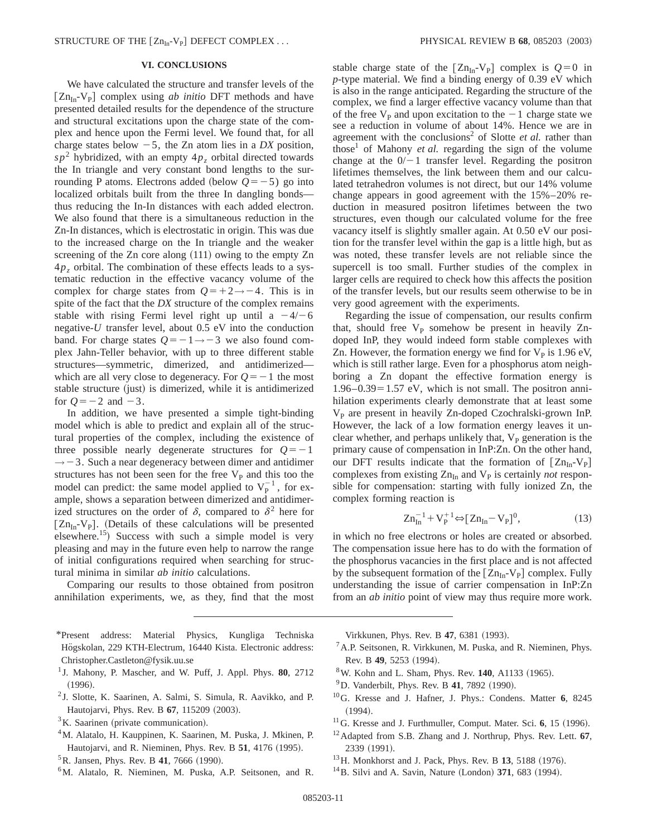# **VI. CONCLUSIONS**

We have calculated the structure and transfer levels of the  $[Zn_{In}-V_{P}]$  complex using *ab initio* DFT methods and have presented detailed results for the dependence of the structure and structural excitations upon the charge state of the complex and hence upon the Fermi level. We found that, for all charge states below  $-5$ , the Zn atom lies in a *DX* position,  $s p<sup>2</sup>$  hybridized, with an empty  $4p<sub>z</sub>$  orbital directed towards the In triangle and very constant bond lengths to the surrounding P atoms. Electrons added (below  $Q=-5$ ) go into localized orbitals built from the three In dangling bonds thus reducing the In-In distances with each added electron. We also found that there is a simultaneous reduction in the Zn-In distances, which is electrostatic in origin. This was due to the increased charge on the In triangle and the weaker screening of the  $Zn$  core along  $(111)$  owing to the empty  $Zn$ 4*pz* orbital. The combination of these effects leads to a systematic reduction in the effective vacancy volume of the complex for charge states from  $Q=+2\rightarrow-4$ . This is in spite of the fact that the *DX* structure of the complex remains stable with rising Fermi level right up until a  $-4/-6$ negative-*U* transfer level, about 0.5 eV into the conduction band. For charge states  $Q=-1 \rightarrow -3$  we also found complex Jahn-Teller behavior, with up to three different stable structures—symmetric, dimerized, and antidimerized which are all very close to degeneracy. For  $Q=-1$  the most stable structure (just) is dimerized, while it is antidimerized for  $Q=-2$  and  $-3$ .

In addition, we have presented a simple tight-binding model which is able to predict and explain all of the structural properties of the complex, including the existence of three possible nearly degenerate structures for  $Q=-1$  $\rightarrow$  -3. Such a near degeneracy between dimer and antidimer structures has not been seen for the free  $V_{\rm P}$  and this too the model can predict: the same model applied to  $V_P^{-1}$ , for example, shows a separation between dimerized and antidimerized structures on the order of  $\delta$ , compared to  $\delta^2$  here for  $[Zn_{In}-V_P]$ . (Details of these calculations will be presented elsewhere.<sup>15</sup>) Success with such a simple model is very pleasing and may in the future even help to narrow the range of initial configurations required when searching for structural minima in similar *ab initio* calculations.

Comparing our results to those obtained from positron annihilation experiments, we, as they, find that the most

- \*Present address: Material Physics, Kungliga Techniska Högskolan, 229 KTH-Electrum, 16440 Kista. Electronic address: Christopher.Castleton@fysik.uu.se
- <sup>1</sup> J. Mahony, P. Mascher, and W. Puff, J. Appl. Phys. **80**, 2712  $(1996).$
- <sup>2</sup> J. Slotte, K. Saarinen, A. Salmi, S. Simula, R. Aavikko, and P. Hautojarvi, Phys. Rev. B 67, 115209 (2003).
- $3K$ . Saarinen (private communication).
- <sup>4</sup>M. Alatalo, H. Kauppinen, K. Saarinen, M. Puska, J. Mkinen, P. Hautojarvi, and R. Nieminen, Phys. Rev. B 51, 4176 (1995).
- ${}^{5}$ R. Jansen, Phys. Rev. B 41, 7666 (1990).
- 6M. Alatalo, R. Nieminen, M. Puska, A.P. Seitsonen, and R.

stable charge state of the  $[Zn_{In}-V_P]$  complex is  $Q=0$  in *p*-type material. We find a binding energy of 0.39 eV which is also in the range anticipated. Regarding the structure of the complex, we find a larger effective vacancy volume than that of the free  $V_{\rm p}$  and upon excitation to the  $-1$  charge state we see a reduction in volume of about 14%. Hence we are in agreement with the conclusions<sup>2</sup> of Slotte *et al.* rather than those<sup>1</sup> of Mahony *et al.* regarding the sign of the volume change at the  $0/-1$  transfer level. Regarding the positron lifetimes themselves, the link between them and our calculated tetrahedron volumes is not direct, but our 14% volume change appears in good agreement with the 15%–20% reduction in measured positron lifetimes between the two structures, even though our calculated volume for the free vacancy itself is slightly smaller again. At 0.50 eV our position for the transfer level within the gap is a little high, but as was noted, these transfer levels are not reliable since the supercell is too small. Further studies of the complex in larger cells are required to check how this affects the position of the transfer levels, but our results seem otherwise to be in very good agreement with the experiments.

Regarding the issue of compensation, our results confirm that, should free  $V_P$  somehow be present in heavily Zndoped InP, they would indeed form stable complexes with Zn. However, the formation energy we find for  $V_p$  is 1.96 eV, which is still rather large. Even for a phosphorus atom neighboring a Zn dopant the effective formation energy is  $1.96-0.39=1.57$  eV, which is not small. The positron annihilation experiments clearly demonstrate that at least some  $V<sub>p</sub>$  are present in heavily Zn-doped Czochralski-grown InP. However, the lack of a low formation energy leaves it unclear whether, and perhaps unlikely that,  $V<sub>p</sub>$  generation is the primary cause of compensation in InP:Zn. On the other hand, our DFT results indicate that the formation of  $[Zn_{In}-V_{P}]$ complexes from existing  $Zn<sub>In</sub>$  and  $V<sub>P</sub>$  is certainly *not* responsible for compensation: starting with fully ionized Zn, the complex forming reaction is

$$
Zn_{In}^{-1} + V_P^{+1} \Leftrightarrow [Zn_{In} - V_P]^0,\tag{13}
$$

in which no free electrons or holes are created or absorbed. The compensation issue here has to do with the formation of the phosphorus vacancies in the first place and is not affected by the subsequent formation of the  $[Zn_{In}-V_{P}]$  complex. Fully understanding the issue of carrier compensation in InP:Zn from an *ab initio* point of view may thus require more work.

Virkkunen, Phys. Rev. B 47, 6381 (1993).

- ${}^{7}$ A.P. Seitsonen, R. Virkkunen, M. Puska, and R. Nieminen, Phys. Rev. B 49, 5253 (1994).
- <sup>8</sup>W. Kohn and L. Sham, Phys. Rev. **140**, A1133 (1965).
- $^{9}$ D. Vanderbilt, Phys. Rev. B 41, 7892 (1990).
- 10G. Kresse and J. Hafner, J. Phys.: Condens. Matter **6**, 8245  $(1994).$
- <sup>11</sup>G. Kresse and J. Furthmuller, Comput. Mater. Sci. 6, 15 (1996).
- 12Adapted from S.B. Zhang and J. Northrup, Phys. Rev. Lett. **67**, 2339 (1991).
- <sup>13</sup>H. Monkhorst and J. Pack, Phys. Rev. B **13**, 5188 (1976).
- $14$ B. Silvi and A. Savin, Nature (London) 371, 683 (1994).